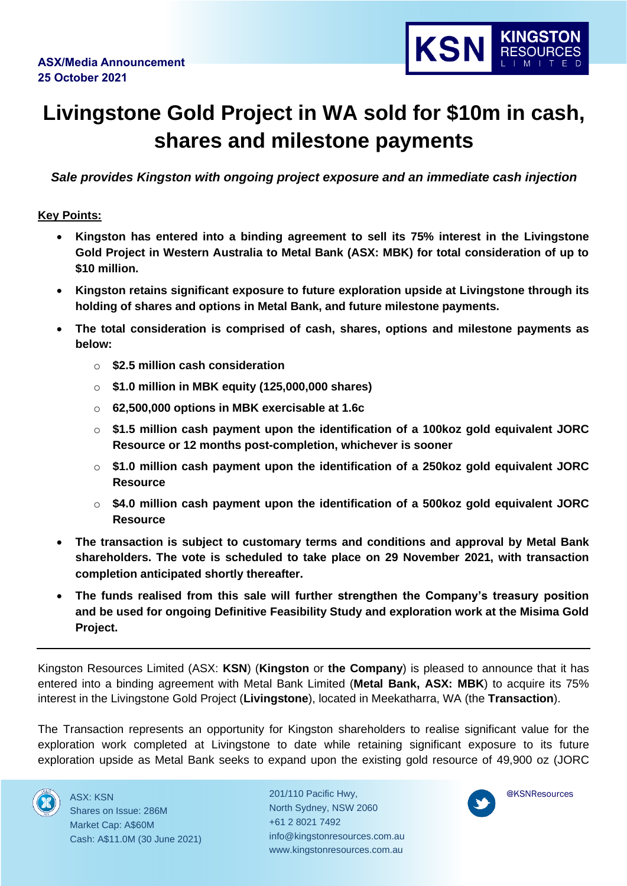

## **Livingstone Gold Project in WA sold for \$10m in cash, shares and milestone payments**

*Sale provides Kingston with ongoing project exposure and an immediate cash injection*

**Key Points:**

- **Kingston has entered into a binding agreement to sell its 75% interest in the Livingstone Gold Project in Western Australia to Metal Bank (ASX: MBK) for total consideration of up to \$10 million.**
- **Kingston retains significant exposure to future exploration upside at Livingstone through its holding of shares and options in Metal Bank, and future milestone payments.**
- **The total consideration is comprised of cash, shares, options and milestone payments as below:**
	- o **\$2.5 million cash consideration**
	- o **\$1.0 million in MBK equity (125,000,000 shares)**
	- o **62,500,000 options in MBK exercisable at 1.6c**
	- o **\$1.5 million cash payment upon the identification of a 100koz gold equivalent JORC Resource or 12 months post-completion, whichever is sooner**
	- o **\$1.0 million cash payment upon the identification of a 250koz gold equivalent JORC Resource**
	- o **\$4.0 million cash payment upon the identification of a 500koz gold equivalent JORC Resource**
- **The transaction is subject to customary terms and conditions and approval by Metal Bank shareholders. The vote is scheduled to take place on 29 November 2021, with transaction completion anticipated shortly thereafter.**
- **The funds realised from this sale will further strengthen the Company's treasury position and be used for ongoing Definitive Feasibility Study and exploration work at the Misima Gold Project.**

Kingston Resources Limited (ASX: **KSN**) (**Kingston** or **the Company**) is pleased to announce that it has entered into a binding agreement with Metal Bank Limited (**Metal Bank, ASX: MBK**) to acquire its 75% interest in the Livingstone Gold Project (**Livingstone**), located in Meekatharra, WA (the **Transaction**).

The Transaction represents an opportunity for Kingston shareholders to realise significant value for the exploration work completed at Livingstone to date while retaining significant exposure to its future exploration upside as Metal Bank seeks to expand upon the existing gold resource of 49,900 oz (JORC



ASX: KSN Shares on Issue: 286M Market Cap: A\$60M Cash: A\$11.0M (30 June 2021)

201/110 Pacific Hwy, North Sydney, NSW 2060 +61 2 8021 7492 info@kingstonresources.com.au www.kingstonresources.com.au

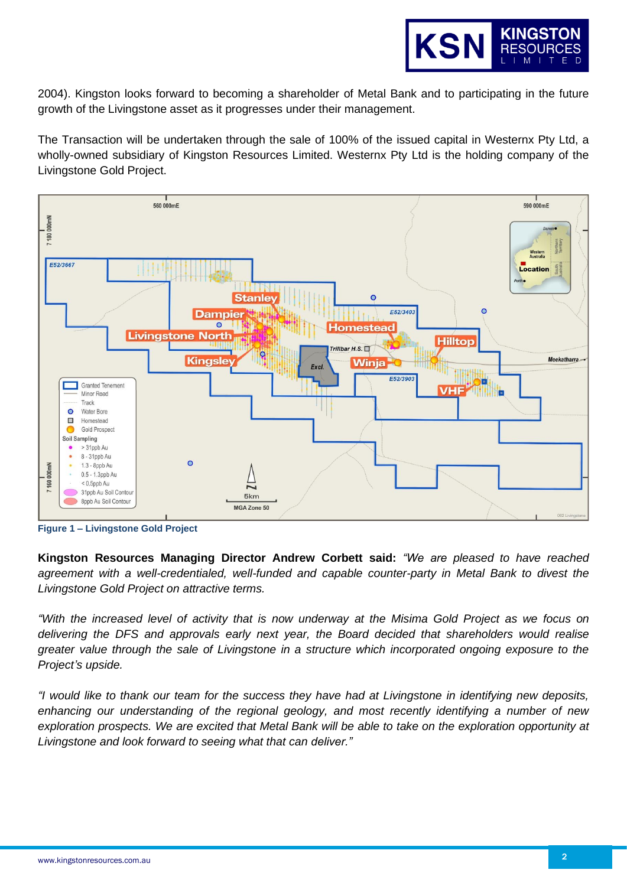

2004). Kingston looks forward to becoming a shareholder of Metal Bank and to participating in the future growth of the Livingstone asset as it progresses under their management.

The Transaction will be undertaken through the sale of 100% of the issued capital in Westernx Pty Ltd, a wholly-owned subsidiary of Kingston Resources Limited. Westernx Pty Ltd is the holding company of the Livingstone Gold Project.



**Figure 1 – Livingstone Gold Project**

**Kingston Resources Managing Director Andrew Corbett said:** *"We are pleased to have reached agreement with a well-credentialed, well-funded and capable counter-party in Metal Bank to divest the Livingstone Gold Project on attractive terms.* 

*"With the increased level of activity that is now underway at the Misima Gold Project as we focus on delivering the DFS and approvals early next year, the Board decided that shareholders would realise greater value through the sale of Livingstone in a structure which incorporated ongoing exposure to the Project's upside.* 

*"I would like to thank our team for the success they have had at Livingstone in identifying new deposits, enhancing our understanding of the regional geology, and most recently identifying a number of new exploration prospects. We are excited that Metal Bank will be able to take on the exploration opportunity at Livingstone and look forward to seeing what that can deliver."*